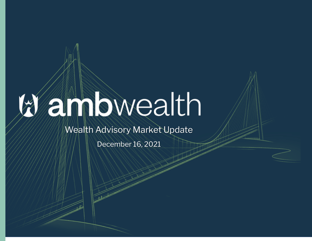## annbwealth

Wealth Advisory Market Update

December 16, 2021